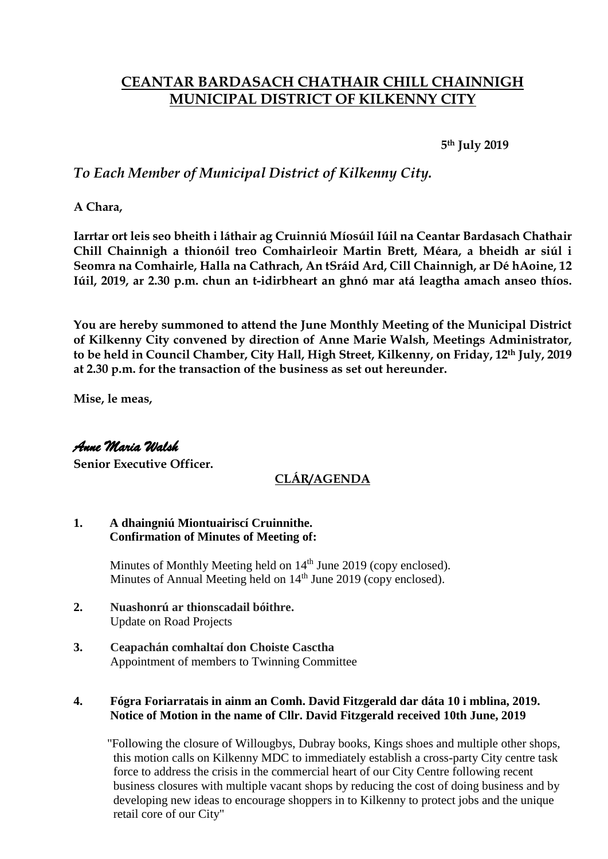# **CEANTAR BARDASACH CHATHAIR CHILL CHAINNIGH MUNICIPAL DISTRICT OF KILKENNY CITY**

**5th July 2019**

## *To Each Member of Municipal District of Kilkenny City.*

**A Chara,**

**Iarrtar ort leis seo bheith i láthair ag Cruinniú Míosúil Iúil na Ceantar Bardasach Chathair Chill Chainnigh a thionóil treo Comhairleoir Martin Brett, Méara, a bheidh ar siúl i Seomra na Comhairle, Halla na Cathrach, An tSráid Ard, Cill Chainnigh, ar Dé hAoine, 12 Iúil, 2019, ar 2.30 p.m. chun an t-idirbheart an ghnó mar atá leagtha amach anseo thíos.**

**You are hereby summoned to attend the June Monthly Meeting of the Municipal District of Kilkenny City convened by direction of Anne Marie Walsh, Meetings Administrator, to be held in Council Chamber, City Hall, High Street, Kilkenny, on Friday, 12th July, 2019 at 2.30 p.m. for the transaction of the business as set out hereunder.**

**Mise, le meas,**

## *Anne Maria Walsh*

**Senior Executive Officer.**

### **CLÁR/AGENDA**

#### **1. A dhaingniú Miontuairiscí Cruinnithe. Confirmation of Minutes of Meeting of:**

Minutes of Monthly Meeting held on 14<sup>th</sup> June 2019 (copy enclosed). Minutes of Annual Meeting held on 14<sup>th</sup> June 2019 (copy enclosed).

- **2. Nuashonrú ar thionscadail bóithre.** Update on Road Projects
- **3. Ceapachán comhaltaí don Choiste Casctha** Appointment of members to Twinning Committee

### **4. Fógra Foriarratais in ainm an Comh. David Fitzgerald dar dáta 10 i mblina, 2019. Notice of Motion in the name of Cllr. David Fitzgerald received 10th June, 2019**

 "Following the closure of Willougbys, Dubray books, Kings shoes and multiple other shops, this motion calls on Kilkenny MDC to immediately establish a cross-party City centre task force to address the crisis in the commercial heart of our City Centre following recent business closures with multiple vacant shops by reducing the cost of doing business and by developing new ideas to encourage shoppers in to Kilkenny to protect jobs and the unique retail core of our City"